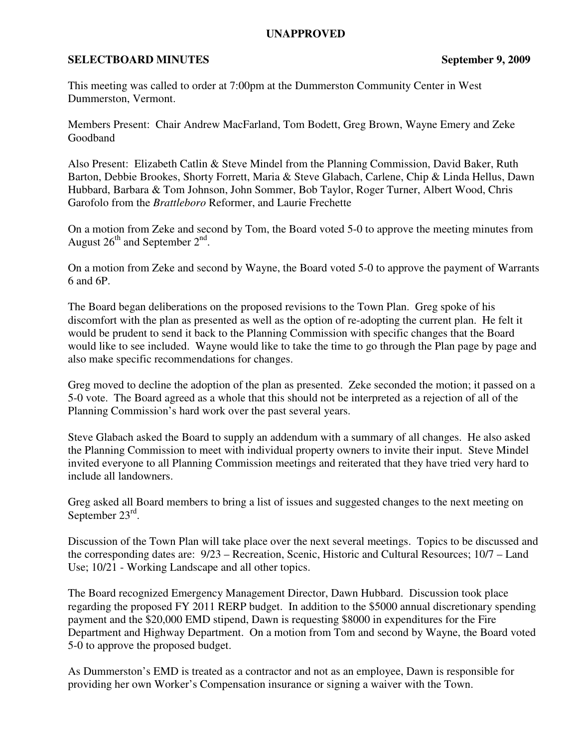## **UNAPPROVED**

## **SELECTBOARD MINUTES** September 9, 2009

This meeting was called to order at 7:00pm at the Dummerston Community Center in West Dummerston, Vermont.

Members Present: Chair Andrew MacFarland, Tom Bodett, Greg Brown, Wayne Emery and Zeke Goodband

Also Present: Elizabeth Catlin & Steve Mindel from the Planning Commission, David Baker, Ruth Barton, Debbie Brookes, Shorty Forrett, Maria & Steve Glabach, Carlene, Chip & Linda Hellus, Dawn Hubbard, Barbara & Tom Johnson, John Sommer, Bob Taylor, Roger Turner, Albert Wood, Chris Garofolo from the *Brattleboro* Reformer, and Laurie Frechette

On a motion from Zeke and second by Tom, the Board voted 5-0 to approve the meeting minutes from August  $26<sup>th</sup>$  and September  $2<sup>nd</sup>$ .

On a motion from Zeke and second by Wayne, the Board voted 5-0 to approve the payment of Warrants 6 and 6P.

The Board began deliberations on the proposed revisions to the Town Plan. Greg spoke of his discomfort with the plan as presented as well as the option of re-adopting the current plan. He felt it would be prudent to send it back to the Planning Commission with specific changes that the Board would like to see included. Wayne would like to take the time to go through the Plan page by page and also make specific recommendations for changes.

Greg moved to decline the adoption of the plan as presented. Zeke seconded the motion; it passed on a 5-0 vote. The Board agreed as a whole that this should not be interpreted as a rejection of all of the Planning Commission's hard work over the past several years.

Steve Glabach asked the Board to supply an addendum with a summary of all changes. He also asked the Planning Commission to meet with individual property owners to invite their input. Steve Mindel invited everyone to all Planning Commission meetings and reiterated that they have tried very hard to include all landowners.

Greg asked all Board members to bring a list of issues and suggested changes to the next meeting on September 23rd.

Discussion of the Town Plan will take place over the next several meetings. Topics to be discussed and the corresponding dates are: 9/23 – Recreation, Scenic, Historic and Cultural Resources; 10/7 – Land Use; 10/21 - Working Landscape and all other topics.

The Board recognized Emergency Management Director, Dawn Hubbard. Discussion took place regarding the proposed FY 2011 RERP budget. In addition to the \$5000 annual discretionary spending payment and the \$20,000 EMD stipend, Dawn is requesting \$8000 in expenditures for the Fire Department and Highway Department. On a motion from Tom and second by Wayne, the Board voted 5-0 to approve the proposed budget.

As Dummerston's EMD is treated as a contractor and not as an employee, Dawn is responsible for providing her own Worker's Compensation insurance or signing a waiver with the Town.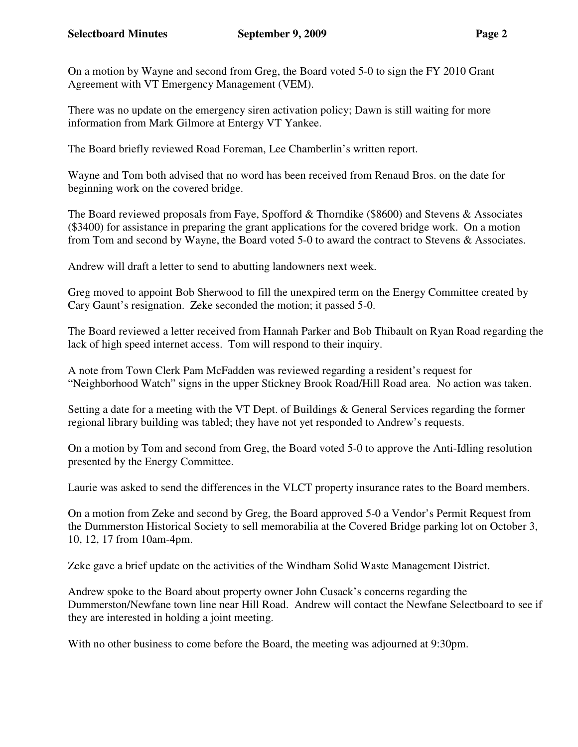On a motion by Wayne and second from Greg, the Board voted 5-0 to sign the FY 2010 Grant Agreement with VT Emergency Management (VEM).

There was no update on the emergency siren activation policy; Dawn is still waiting for more information from Mark Gilmore at Entergy VT Yankee.

The Board briefly reviewed Road Foreman, Lee Chamberlin's written report.

Wayne and Tom both advised that no word has been received from Renaud Bros. on the date for beginning work on the covered bridge.

The Board reviewed proposals from Faye, Spofford & Thorndike (\$8600) and Stevens & Associates (\$3400) for assistance in preparing the grant applications for the covered bridge work. On a motion from Tom and second by Wayne, the Board voted 5-0 to award the contract to Stevens & Associates.

Andrew will draft a letter to send to abutting landowners next week.

Greg moved to appoint Bob Sherwood to fill the unexpired term on the Energy Committee created by Cary Gaunt's resignation. Zeke seconded the motion; it passed 5-0.

The Board reviewed a letter received from Hannah Parker and Bob Thibault on Ryan Road regarding the lack of high speed internet access. Tom will respond to their inquiry.

A note from Town Clerk Pam McFadden was reviewed regarding a resident's request for "Neighborhood Watch" signs in the upper Stickney Brook Road/Hill Road area. No action was taken.

Setting a date for a meeting with the VT Dept. of Buildings & General Services regarding the former regional library building was tabled; they have not yet responded to Andrew's requests.

On a motion by Tom and second from Greg, the Board voted 5-0 to approve the Anti-Idling resolution presented by the Energy Committee.

Laurie was asked to send the differences in the VLCT property insurance rates to the Board members.

On a motion from Zeke and second by Greg, the Board approved 5-0 a Vendor's Permit Request from the Dummerston Historical Society to sell memorabilia at the Covered Bridge parking lot on October 3, 10, 12, 17 from 10am-4pm.

Zeke gave a brief update on the activities of the Windham Solid Waste Management District.

Andrew spoke to the Board about property owner John Cusack's concerns regarding the Dummerston/Newfane town line near Hill Road. Andrew will contact the Newfane Selectboard to see if they are interested in holding a joint meeting.

With no other business to come before the Board, the meeting was adjourned at 9:30pm.